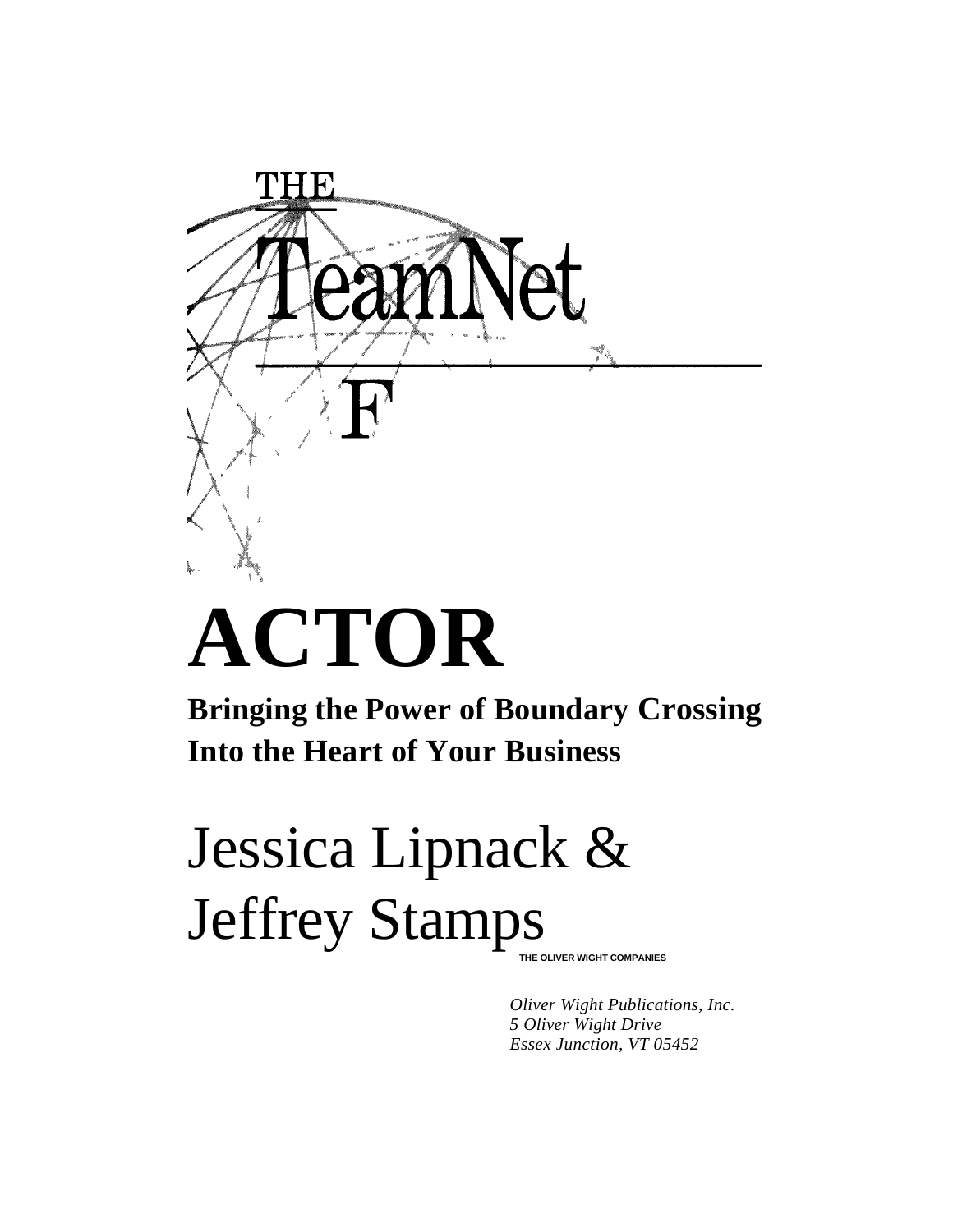

## **ACTOR**

**Bringing the Power of Boundary Crossing Into the Heart of Your Business**

## Jessica Lipnack & Jeffrey Stamps **THE OLIVER WIGHT COMPANIES**

*Oliver Wight Publications, Inc. 5 Oliver Wight Drive Essex Junction, VT 05452*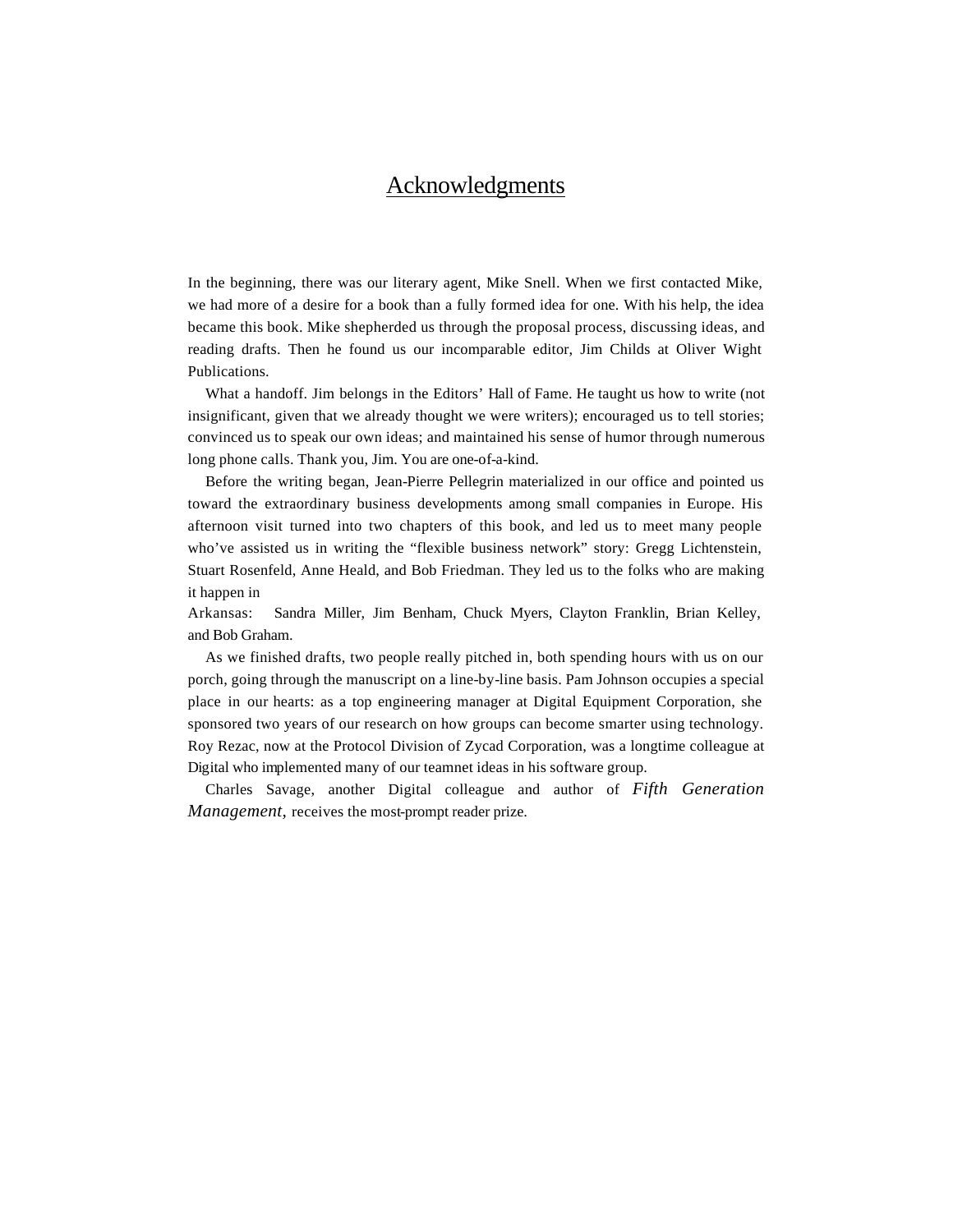## Acknowledgments

In the beginning, there was our literary agent, Mike Snell. When we first contacted Mike, we had more of a desire for a book than a fully formed idea for one. With his help, the idea became this book. Mike shepherded us through the proposal process, discussing ideas, and reading drafts. Then he found us our incomparable editor, Jim Childs at Oliver Wight Publications.

What a handoff. Jim belongs in the Editors' Hall of Fame. He taught us how to write (not insignificant, given that we already thought we were writers); encouraged us to tell stories; convinced us to speak our own ideas; and maintained his sense of humor through numerous long phone calls. Thank you, Jim. You are one-of-a-kind.

Before the writing began, Jean-Pierre Pellegrin materialized in our office and pointed us toward the extraordinary business developments among small companies in Europe. His afternoon visit turned into two chapters of this book, and led us to meet many people who've assisted us in writing the "flexible business network" story: Gregg Lichtenstein, Stuart Rosenfeld, Anne Heald, and Bob Friedman. They led us to the folks who are making it happen in

Arkansas: Sandra Miller, Jim Benham, Chuck Myers, Clayton Franklin, Brian Kelley, and Bob Graham.

As we finished drafts, two people really pitched in, both spending hours with us on our porch, going through the manuscript on a line-by-line basis. Pam Johnson occupies a special place in our hearts: as a top engineering manager at Digital Equipment Corporation, she sponsored two years of our research on how groups can become smarter using technology. Roy Rezac, now at the Protocol Division of Zycad Corporation, was a longtime colleague at Digital who implemented many of our teamnet ideas in his software group.

Charles Savage, another Digital colleague and author of *Fifth Generation Management,* receives the most-prompt reader prize.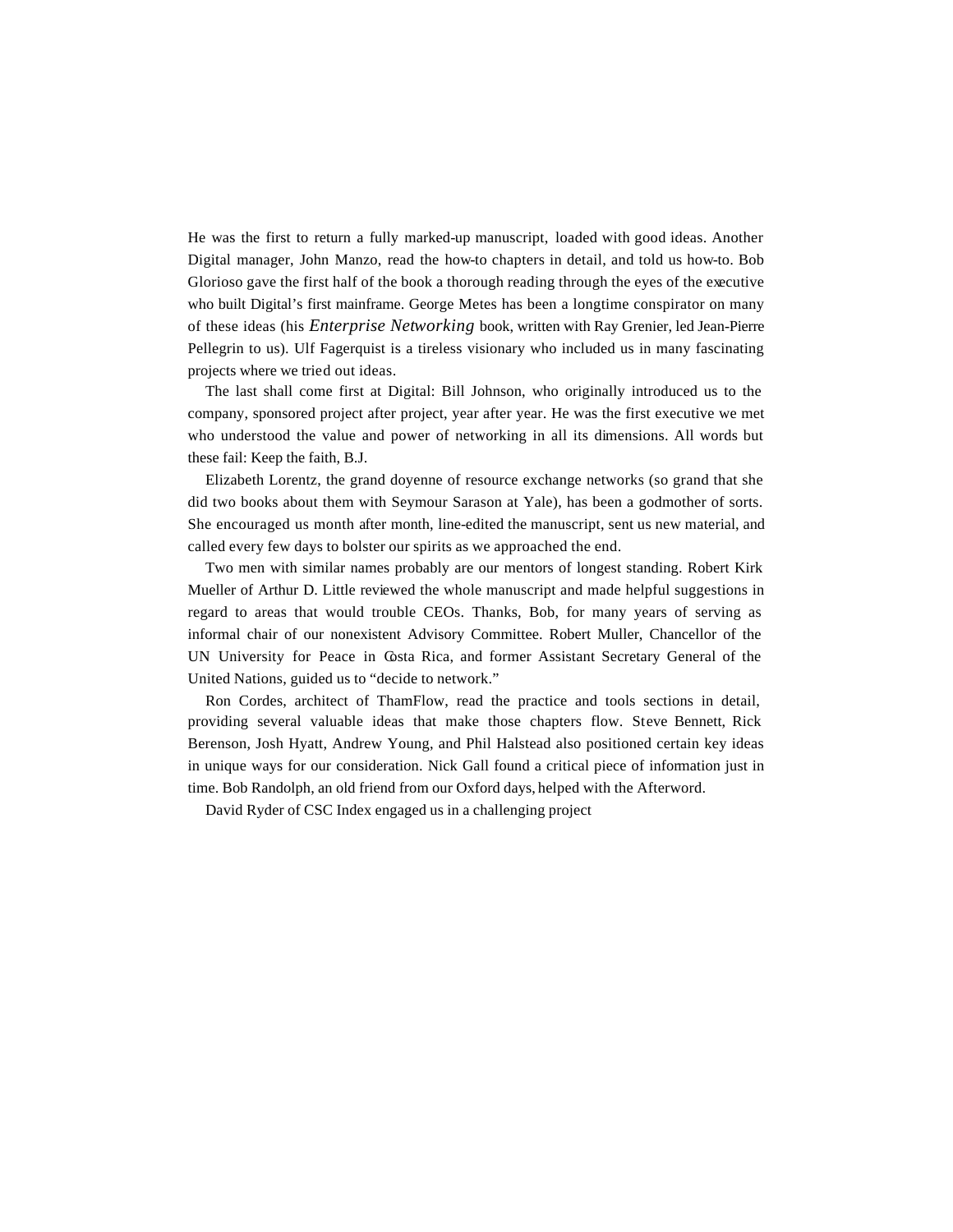He was the first to return a fully marked-up manuscript, loaded with good ideas. Another Digital manager, John Manzo, read the how-to chapters in detail, and told us how-to. Bob Glorioso gave the first half of the book a thorough reading through the eyes of the executive who built Digital's first mainframe. George Metes has been a longtime conspirator on many of these ideas (his *Enterprise Networking* book, written with Ray Grenier, led Jean-Pierre Pellegrin to us). Ulf Fagerquist is a tireless visionary who included us in many fascinating projects where we tried out ideas.

The last shall come first at Digital: Bill Johnson, who originally introduced us to the company, sponsored project after project, year after year. He was the first executive we met who understood the value and power of networking in all its dimensions. All words but these fail: Keep the faith, B.J.

Elizabeth Lorentz, the grand doyenne of resource exchange networks (so grand that she did two books about them with Seymour Sarason at Yale), has been a godmother of sorts. She encouraged us month after month, line-edited the manuscript, sent us new material, and called every few days to bolster our spirits as we approached the end.

Two men with similar names probably are our mentors of longest standing. Robert Kirk Mueller of Arthur D. Little reviewed the whole manuscript and made helpful suggestions in regard to areas that would trouble CEOs. Thanks, Bob, for many years of serving as informal chair of our nonexistent Advisory Committee. Robert Muller, Chancellor of the UN University for Peace in Costa Rica, and former Assistant Secretary General of the United Nations, guided us to "decide to network."

Ron Cordes, architect of ThamFlow, read the practice and tools sections in detail, providing several valuable ideas that make those chapters flow. Steve Bennett, Rick Berenson, Josh Hyatt, Andrew Young, and Phil Halstead also positioned certain key ideas in unique ways for our consideration. Nick Gall found a critical piece of information just in time. Bob Randolph, an old friend from our Oxford days, helped with the Afterword.

David Ryder of CSC Index engaged us in a challenging project